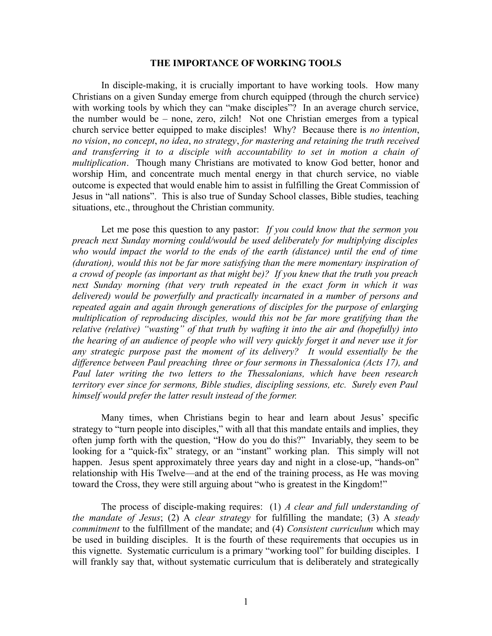## **THE IMPORTANCE OF WORKING TOOLS**

In disciple-making, it is crucially important to have working tools. How many Christians on a given Sunday emerge from church equipped (through the church service) with working tools by which they can "make disciples"? In an average church service, the number would be – none, zero, zilch! Not one Christian emerges from a typical church service better equipped to make disciples! Why? Because there is *no intention*, *no vision*, *no concept*, *no idea*, *no strategy*, *for mastering and retaining the truth received and transferring it to a disciple with accountability to set in motion a chain of multiplication*. Though many Christians are motivated to know God better, honor and worship Him, and concentrate much mental energy in that church service, no viable outcome is expected that would enable him to assist in fulfilling the Great Commission of Jesus in "all nations". This is also true of Sunday School classes, Bible studies, teaching situations, etc., throughout the Christian community.

Let me pose this question to any pastor: *If you could know that the sermon you preach next Sunday morning could/would be used deliberately for multiplying disciples who would impact the world to the ends of the earth (distance) until the end of time (duration), would this not be far more satisfying than the mere momentary inspiration of a crowd of people (as important as that might be)? If you knew that the truth you preach next Sunday morning (that very truth repeated in the exact form in which it was delivered) would be powerfully and practically incarnated in a number of persons and repeated again and again through generations of disciples for the purpose of enlarging multiplication of reproducing disciples, would this not be far more gratifying than the relative (relative) "wasting" of that truth by wafting it into the air and (hopefully) into the hearing of an audience of people who will very quickly forget it and never use it for any strategic purpose past the moment of its delivery? It would essentially be the difference between Paul preaching three or four sermons in Thessalonica (Acts 17), and Paul later writing the two letters to the Thessalonians, which have been research territory ever since for sermons, Bible studies, discipling sessions, etc. Surely even Paul himself would prefer the latter result instead of the former.* 

Many times, when Christians begin to hear and learn about Jesus' specific strategy to "turn people into disciples," with all that this mandate entails and implies, they often jump forth with the question, "How do you do this?" Invariably, they seem to be looking for a "quick-fix" strategy, or an "instant" working plan. This simply will not happen. Jesus spent approximately three years day and night in a close-up, "hands-on" relationship with His Twelve—and at the end of the training process, as He was moving toward the Cross, they were still arguing about "who is greatest in the Kingdom!"

The process of disciple-making requires: (1) *A clear and full understanding of the mandate of Jesus*; (2) A *clear strategy* for fulfilling the mandate; (3) A *steady commitment* to the fulfillment of the mandate; and (4) *Consistent curriculum* which may be used in building disciples. It is the fourth of these requirements that occupies us in this vignette. Systematic curriculum is a primary "working tool" for building disciples. I will frankly say that, without systematic curriculum that is deliberately and strategically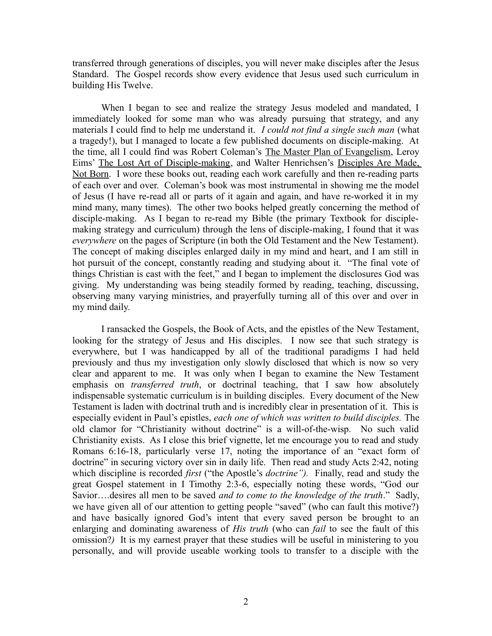transferred through generations of disciples, you will never make disciples after the Jesus Standard. The Gospel records show every evidence that Jesus used such curriculum in building His Twelve.

When I began to see and realize the strategy Jesus modeled and mandated, I immediately looked for some man who was already pursuing that strategy, and any materials I could find to help me understand it. *I could not find a single such man* (what a tragedy!), but I managed to locate a few published documents on disciple-making. At the time, all I could find was Robert Coleman's The Master Plan of Evangelism, Leroy Eims' The Lost Art of Disciple-making, and Walter Henrichsen's Disciples Are Made, Not Born. I wore these books out, reading each work carefully and then re-reading parts of each over and over. Coleman's book was most instrumental in showing me the model of Jesus (I have re-read all or parts of it again and again, and have re-worked it in my mind many, many times). The other two books helped greatly concerning the method of disciple-making. As I began to re-read my Bible (the primary Textbook for disciplemaking strategy and curriculum) through the lens of disciple-making, I found that it was *everywhere* on the pages of Scripture (in both the Old Testament and the New Testament). The concept of making disciples enlarged daily in my mind and heart, and I am still in hot pursuit of the concept, constantly reading and studying about it. "The final vote of things Christian is cast with the feet," and I began to implement the disclosures God was giving. My understanding was being steadily formed by reading, teaching, discussing, observing many varying ministries, and prayerfully turning all of this over and over in my mind daily.

I ransacked the Gospels, the Book of Acts, and the epistles of the New Testament, looking for the strategy of Jesus and His disciples. I now see that such strategy is everywhere, but I was handicapped by all of the traditional paradigms I had held previously and thus my investigation only slowly disclosed that which is now so very clear and apparent to me. It was only when I began to examine the New Testament emphasis on *transferred truth*, or doctrinal teaching, that I saw how absolutely indispensable systematic curriculum is in building disciples. Every document of the New Testament is laden with doctrinal truth and is incredibly clear in presentation of it. This is especially evident in Paul's epistles, *each one of which was written to build disciples.* The old clamor for "Christianity without doctrine" is a will-of-the-wisp. No such valid Christianity exists. As I close this brief vignette, let me encourage you to read and study Romans 6:16-18, particularly verse 17, noting the importance of an "exact form of doctrine" in securing victory over sin in daily life. Then read and study Acts 2:42, noting which discipline is recorded *first* ("the Apostle's *doctrine").* Finally, read and study the great Gospel statement in I Timothy 2:3-6, especially noting these words, "God our Savior….desires all men to be saved *and to come to the knowledge of the truth*." Sadly, we have given all of our attention to getting people "saved" (who can fault this motive?) and have basically ignored God's intent that every saved person be brought to an enlarging and dominating awareness of *His truth* (who can *fail* to see the fault of this omission?*)* It is my earnest prayer that these studies will be useful in ministering to you personally, and will provide useable working tools to transfer to a disciple with the